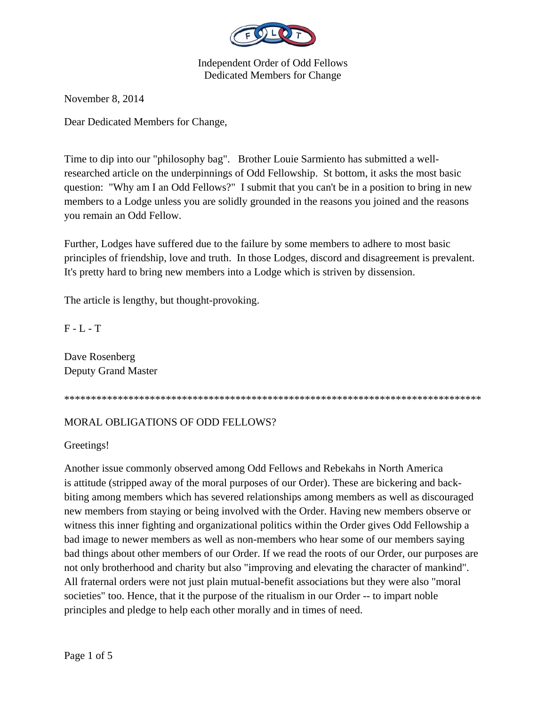

November 8, 2014

Dear Dedicated Members for Change,

Time to dip into our "philosophy bag". Brother Louie Sarmiento has submitted a wellresearched article on the underpinnings of Odd Fellowship. St bottom, it asks the most basic question: "Why am I an Odd Fellows?" I submit that you can't be in a position to bring in new members to a Lodge unless you are solidly grounded in the reasons you joined and the reasons you remain an Odd Fellow.

Further, Lodges have suffered due to the failure by some members to adhere to most basic principles of friendship, love and truth. In those Lodges, discord and disagreement is prevalent. It's pretty hard to bring new members into a Lodge which is striven by dissension.

The article is lengthy, but thought-provoking.

 $F - L - T$ 

Dave Rosenberg Deputy Grand Master

\*\*\*\*\*\*\*\*\*\*\*\*\*\*\*\*\*\*\*\*\*\*\*\*\*\*\*\*\*\*\*\*\*\*\*\*\*\*\*\*\*\*\*\*\*\*\*\*\*\*\*\*\*\*\*\*\*\*\*\*\*\*\*\*\*\*\*\*\*\*\*\*\*\*\*\*\*\*

## MORAL OBLIGATIONS OF ODD FELLOWS?

Greetings!

Another issue commonly observed among Odd Fellows and Rebekahs in North America is attitude (stripped away of the moral purposes of our Order). These are bickering and backbiting among members which has severed relationships among members as well as discouraged new members from staying or being involved with the Order. Having new members observe or witness this inner fighting and organizational politics within the Order gives Odd Fellowship a bad image to newer members as well as non-members who hear some of our members saying bad things about other members of our Order. If we read the roots of our Order, our purposes are not only brotherhood and charity but also "improving and elevating the character of mankind". All fraternal orders were not just plain mutual-benefit associations but they were also "moral societies" too. Hence, that it the purpose of the ritualism in our Order -- to impart noble principles and pledge to help each other morally and in times of need.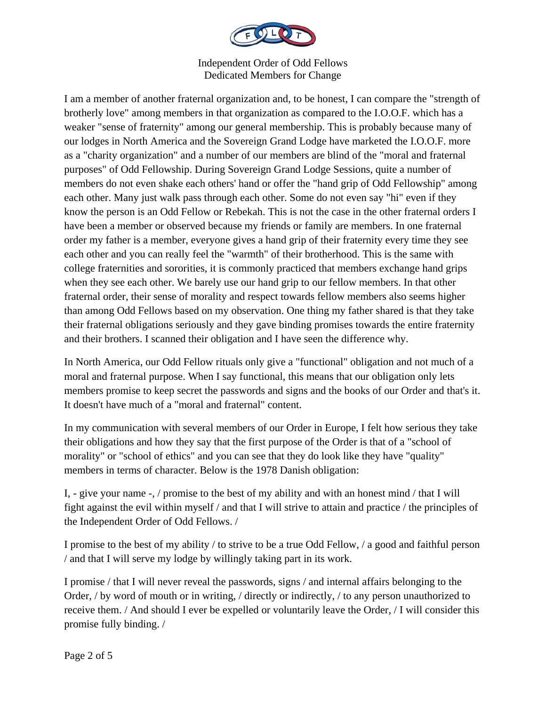

I am a member of another fraternal organization and, to be honest, I can compare the "strength of brotherly love" among members in that organization as compared to the I.O.O.F. which has a weaker "sense of fraternity" among our general membership. This is probably because many of our lodges in North America and the Sovereign Grand Lodge have marketed the I.O.O.F. more as a "charity organization" and a number of our members are blind of the "moral and fraternal purposes" of Odd Fellowship. During Sovereign Grand Lodge Sessions, quite a number of members do not even shake each others' hand or offer the "hand grip of Odd Fellowship" among each other. Many just walk pass through each other. Some do not even say "hi" even if they know the person is an Odd Fellow or Rebekah. This is not the case in the other fraternal orders I have been a member or observed because my friends or family are members. In one fraternal order my father is a member, everyone gives a hand grip of their fraternity every time they see each other and you can really feel the "warmth" of their brotherhood. This is the same with college fraternities and sororities, it is commonly practiced that members exchange hand grips when they see each other. We barely use our hand grip to our fellow members. In that other fraternal order, their sense of morality and respect towards fellow members also seems higher than among Odd Fellows based on my observation. One thing my father shared is that they take their fraternal obligations seriously and they gave binding promises towards the entire fraternity and their brothers. I scanned their obligation and I have seen the difference why.

In North America, our Odd Fellow rituals only give a "functional" obligation and not much of a moral and fraternal purpose. When I say functional, this means that our obligation only lets members promise to keep secret the passwords and signs and the books of our Order and that's it. It doesn't have much of a "moral and fraternal" content.

In my communication with several members of our Order in Europe, I felt how serious they take their obligations and how they say that the first purpose of the Order is that of a "school of morality" or "school of ethics" and you can see that they do look like they have "quality" members in terms of character. Below is the 1978 Danish obligation:

I, - give your name -, / promise to the best of my ability and with an honest mind / that I will fight against the evil within myself / and that I will strive to attain and practice / the principles of the Independent Order of Odd Fellows. /

I promise to the best of my ability / to strive to be a true Odd Fellow, / a good and faithful person / and that I will serve my lodge by willingly taking part in its work.

I promise / that I will never reveal the passwords, signs / and internal affairs belonging to the Order, / by word of mouth or in writing, / directly or indirectly, / to any person unauthorized to receive them. / And should I ever be expelled or voluntarily leave the Order, / I will consider this promise fully binding. /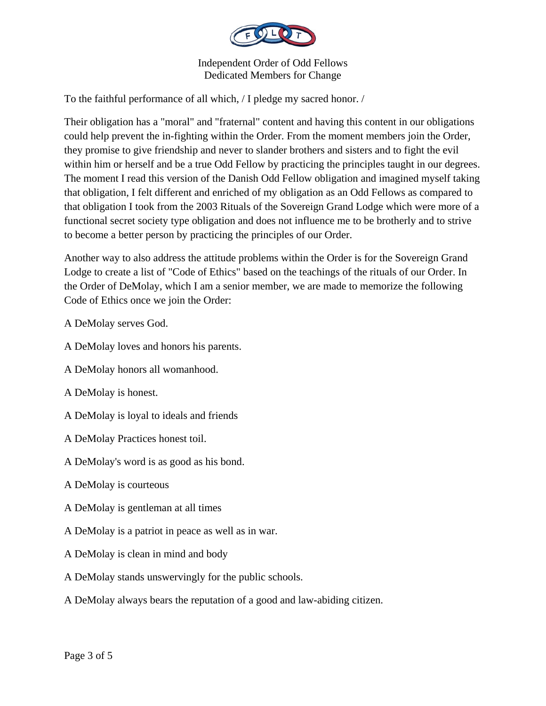

To the faithful performance of all which, / I pledge my sacred honor. /

Their obligation has a "moral" and "fraternal" content and having this content in our obligations could help prevent the in-fighting within the Order. From the moment members join the Order, they promise to give friendship and never to slander brothers and sisters and to fight the evil within him or herself and be a true Odd Fellow by practicing the principles taught in our degrees. The moment I read this version of the Danish Odd Fellow obligation and imagined myself taking that obligation, I felt different and enriched of my obligation as an Odd Fellows as compared to that obligation I took from the 2003 Rituals of the Sovereign Grand Lodge which were more of a functional secret society type obligation and does not influence me to be brotherly and to strive to become a better person by practicing the principles of our Order.

Another way to also address the attitude problems within the Order is for the Sovereign Grand Lodge to create a list of "Code of Ethics" based on the teachings of the rituals of our Order. In the Order of DeMolay, which I am a senior member, we are made to memorize the following Code of Ethics once we join the Order:

A DeMolay serves God.

- A DeMolay loves and honors his parents.
- A DeMolay honors all womanhood.
- A DeMolay is honest.
- A DeMolay is loyal to ideals and friends
- A DeMolay Practices honest toil.
- A DeMolay's word is as good as his bond.
- A DeMolay is courteous
- A DeMolay is gentleman at all times
- A DeMolay is a patriot in peace as well as in war.
- A DeMolay is clean in mind and body
- A DeMolay stands unswervingly for the public schools.
- A DeMolay always bears the reputation of a good and law-abiding citizen.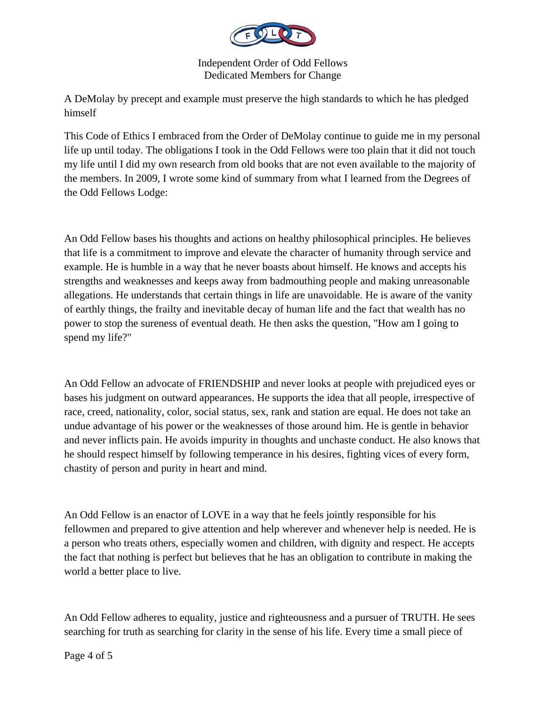

A DeMolay by precept and example must preserve the high standards to which he has pledged himself

This Code of Ethics I embraced from the Order of DeMolay continue to guide me in my personal life up until today. The obligations I took in the Odd Fellows were too plain that it did not touch my life until I did my own research from old books that are not even available to the majority of the members. In 2009, I wrote some kind of summary from what I learned from the Degrees of the Odd Fellows Lodge:

An Odd Fellow bases his thoughts and actions on healthy philosophical principles. He believes that life is a commitment to improve and elevate the character of humanity through service and example. He is humble in a way that he never boasts about himself. He knows and accepts his strengths and weaknesses and keeps away from badmouthing people and making unreasonable allegations. He understands that certain things in life are unavoidable. He is aware of the vanity of earthly things, the frailty and inevitable decay of human life and the fact that wealth has no power to stop the sureness of eventual death. He then asks the question, "How am I going to spend my life?"

An Odd Fellow an advocate of FRIENDSHIP and never looks at people with prejudiced eyes or bases his judgment on outward appearances. He supports the idea that all people, irrespective of race, creed, nationality, color, social status, sex, rank and station are equal. He does not take an undue advantage of his power or the weaknesses of those around him. He is gentle in behavior and never inflicts pain. He avoids impurity in thoughts and unchaste conduct. He also knows that he should respect himself by following temperance in his desires, fighting vices of every form, chastity of person and purity in heart and mind.

An Odd Fellow is an enactor of LOVE in a way that he feels jointly responsible for his fellowmen and prepared to give attention and help wherever and whenever help is needed. He is a person who treats others, especially women and children, with dignity and respect. He accepts the fact that nothing is perfect but believes that he has an obligation to contribute in making the world a better place to live.

An Odd Fellow adheres to equality, justice and righteousness and a pursuer of TRUTH. He sees searching for truth as searching for clarity in the sense of his life. Every time a small piece of